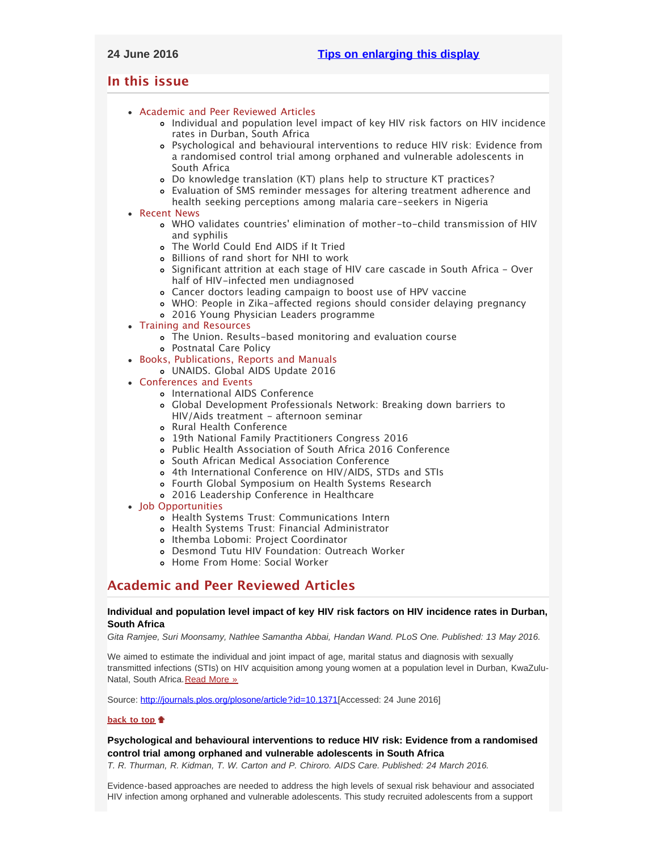# <span id="page-0-4"></span><span id="page-0-3"></span>**In this issue**

- [Academic and Peer Reviewed Articles](#page-0-0)
	- [Individual and population level impact of key HIV risk factors on HIV incidence](#page-0-1) [rates in Durban, South Africa](#page-0-1)
	- [Psychological and behavioural interventions to reduce HIV risk: Evidence from](#page-0-2) [a randomised control trial among orphaned and vulnerable adolescents in](#page-0-2) [South Africa](#page-0-2)
	- [Do knowledge translation \(KT\) plans help to structure KT practices?](#page-1-0)
	- [Evaluation of SMS reminder messages for altering treatment adherence and](#page-1-1) [health seeking perceptions among malaria care-seekers in Nigeria](#page-1-1)
- [Recent News](#page-1-2)
	- WHO validates countries[' elimination of mother-to-child transmission of HIV](#page-1-3) [and syphilis](#page-1-3)
	- [The World Could End AIDS if It Tried](#page-1-4)
	- [Billions of rand short for NHI to work](#page-1-5)
	- [Significant attrition at each stage of HIV care cascade in South Africa Over](#page-2-0) [half of HIV-infected men undiagnosed](#page-2-0)
	- [Cancer doctors leading campaign to boost use of HPV vaccine](#page-2-1)
	- [WHO: People in Zika-affected regions should consider delaying pregnancy](#page-2-2)
	- [2016 Young Physician Leaders programme](#page-2-3)
- [Training and Resources](#page-4-0)
	- [The Union. Results-based monitoring and evaluation course](#page-2-4)
	- [Postnatal Care Policy](#page-2-5)
- [Books, Publications, Reports and Manuals](#page-3-0)
	- [UNAIDS. Global AIDS Update 2016](#page-3-1)
- [Conferences and Events](#page-3-2)
	- [International AIDS Conference](#page-3-3)
	- [Global Development Professionals Network: Breaking down barriers to](#page-3-4) [HIV/Aids treatment - afternoon seminar](#page-3-4)
	- o [Rural Health Conference](#page-3-5)
	- [19th National Family Practitioners Congress 2016](#page-3-6)
	- [Public Health Association of South Africa 2016 Conference](#page-3-7)
	- [South African Medical Association Conference](#page-3-8)
	- [4th International Conference on HIV/AIDS, STDs and STIs](#page-3-9)
	- [Fourth Global Symposium on Health Systems Research](#page-4-1)
	- [2016 Leadership Conference in Healthcare](#page-4-2)
- [Job Opportunities](#page-0-3)
	- [Health Systems Trust: Communications Intern](#page-4-3)
	- [Health Systems Trust: Financial Administrator](#page-4-4)
	- o [Ithemba Lobomi: Project Coordinator](#page-4-5)
	- [Desmond Tutu HIV Foundation: Outreach Worker](#page-4-6)
	- [Home From Home: Social Worker](#page-4-7)

# <span id="page-0-0"></span>**Academic and Peer Reviewed Articles**

# <span id="page-0-1"></span>**Individual and population level impact of key HIV risk factors on HIV incidence rates in Durban, South Africa**

*Gita Ramjee, Suri Moonsamy, Nathlee Samantha Abbai, Handan Wand. PLoS One. Published: 13 May 2016.*

We aimed to estimate the individual and joint impact of age, marital status and diagnosis with sexually transmitted infections (STIs) on HIV acquisition among young women at a population level in Durban, KwaZulu-Natal, South Africa. [Read More »](http://journals.plos.org/plosone/article?id=10.1371/journal.pone.0153969&utm_source=AVAC%20Email%20Updates&utm_campaign=5bb58d5b21-13_MAY_2016_VOLUME_17_ISSUE_19&utm_medium=email&utm_term=0_6fd730be57-5bb58d5b21-137796265)

Source: [http://journals.plos.org/plosone/article?id=10.1371\[](http://journals.plos.org/plosone/article?id=10.1371/journal.pone.0153969&utm_source=AVAC%20Email%20Updates&utm_campaign=5bb58d5b21-13_MAY_2016_VOLUME_17_ISSUE_19&utm_medium=email&utm_term=0_6fd730be57-5bb58d5b21-137796265)Accessed: 24 June 2016]

## **[back to top](#page-0-4)**

# <span id="page-0-2"></span>**Psychological and behavioural interventions to reduce HIV risk: Evidence from a randomised control trial among orphaned and vulnerable adolescents in South Africa**

*T. R. Thurman, R. Kidman, T. W. Carton and P. Chiroro. AIDS Care. Published: 24 March 2016.*

Evidence-based approaches are needed to address the high levels of sexual risk behaviour and associated HIV infection among orphaned and vulnerable adolescents. This study recruited adolescents from a support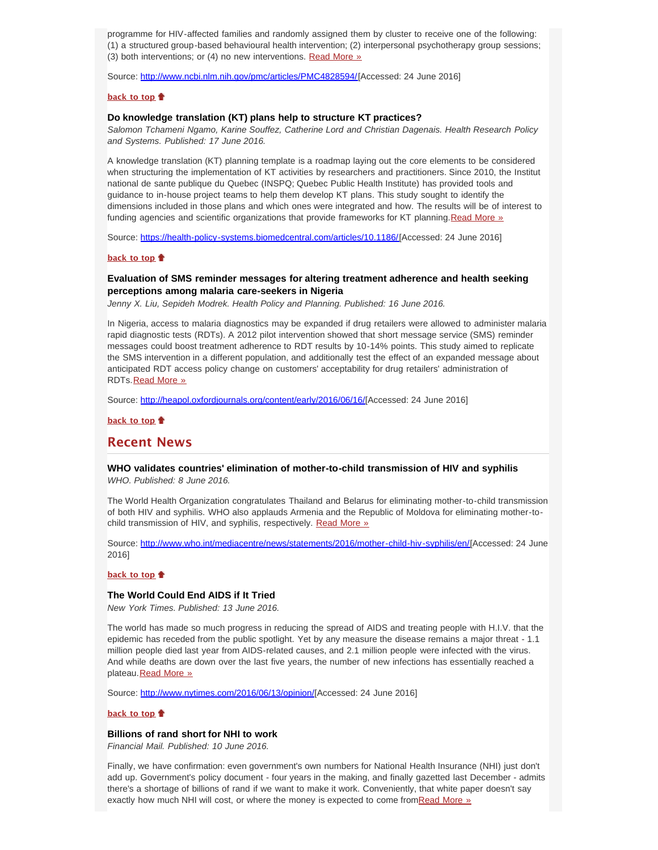programme for HIV-affected families and randomly assigned them by cluster to receive one of the following: (1) a structured group-based behavioural health intervention; (2) interpersonal psychotherapy group sessions; (3) both interventions; or (4) no new interventions. [Read More »](http://www.ncbi.nlm.nih.gov/pmc/articles/PMC4828594/)

Source: [http://www.ncbi.nlm.nih.gov/pmc/articles/PMC4828594/\[](http://www.ncbi.nlm.nih.gov/pmc/articles/PMC4828594/)Accessed: 24 June 2016]

### **[back to top](#page-0-4)**

## <span id="page-1-0"></span>**Do knowledge translation (KT) plans help to structure KT practices?**

*Salomon Tchameni Ngamo, Karine Souffez, Catherine Lord and Christian Dagenais. Health Research Policy and Systems. Published: 17 June 2016.*

A knowledge translation (KT) planning template is a roadmap laying out the core elements to be considered when structuring the implementation of KT activities by researchers and practitioners. Since 2010, the Institut national de sante publique du Quebec (INSPQ; Quebec Public Health Institute) has provided tools and guidance to in-house project teams to help them develop KT plans. This study sought to identify the dimensions included in those plans and which ones were integrated and how. The results will be of interest to funding agencies and scientific organizations that provide frameworks for KT planning. [Read More »](https://health-policy-systems.biomedcentral.com/articles/10.1186/s12961-016-0118-z)

Source: [https://health-policy-systems.biomedcentral.com/articles/10.1186/\[](https://health-policy-systems.biomedcentral.com/articles/10.1186/s12961-016-0118-z)Accessed: 24 June 2016]

### **[back to top](#page-0-4)**

# <span id="page-1-1"></span>**Evaluation of SMS reminder messages for altering treatment adherence and health seeking perceptions among malaria care-seekers in Nigeria**

*Jenny X. Liu, Sepideh Modrek. Health Policy and Planning. Published: 16 June 2016.*

In Nigeria, access to malaria diagnostics may be expanded if drug retailers were allowed to administer malaria rapid diagnostic tests (RDTs). A 2012 pilot intervention showed that short message service (SMS) reminder messages could boost treatment adherence to RDT results by 10-14% points. This study aimed to replicate the SMS intervention in a different population, and additionally test the effect of an expanded message about anticipated RDT access policy change on customers' acceptability for drug retailers' administration of RDTs. [Read More »](http://heapol.oxfordjournals.org/content/early/2016/06/16/heapol.czw076.full.pdf+html)

Source: [http://heapol.oxfordjournals.org/content/early/2016/06/16/](http://heapol.oxfordjournals.org/content/early/2016/06/16/heapol.czw076.full.pdf+html)[Accessed: 24 June 2016]

**[back to top](#page-0-4)**

# <span id="page-1-2"></span>**Recent News**

## <span id="page-1-3"></span>**WHO validates countries' elimination of mother-to-child transmission of HIV and syphilis** *WHO. Published: 8 June 2016.*

The World Health Organization congratulates Thailand and Belarus for eliminating mother-to-child transmission of both HIV and syphilis. WHO also applauds Armenia and the Republic of Moldova for eliminating mother-to-child transmission of HIV, and syphilis, respectively. [Read More »](http://www.hst.org.za/news/who-validates-countries-elimination-mother-child-transmission-hiv-and-syphilis)

Source: [http://www.who.int/mediacentre/news/statements/2016/mother-child-hiv-syphilis/en/\[](http://www.who.int/mediacentre/news/statements/2016/mother-child-hiv-syphilis/en/)Accessed: 24 June 2016]

### **[back to top](#page-0-4)**

# <span id="page-1-4"></span>**The World Could End AIDS if It Tried**

*New York Times. Published: 13 June 2016.*

The world has made so much progress in reducing the spread of AIDS and treating people with H.I.V. that the epidemic has receded from the public spotlight. Yet by any measure the disease remains a major threat - 1.1 million people died last year from AIDS-related causes, and 2.1 million people were infected with the virus. And while deaths are down over the last five years, the number of new infections has essentially reached a plateau. [Read More »](http://www.hst.org.za/news/world-could-end-aids-if-it-tried)

Source: [http://www.nytimes.com/2016/06/13/opinion/\[](http://www.nytimes.com/2016/06/13/opinion/the-world-could-end-aids-if-it-tried.html?rref=collection%2Fsectioncollection%2Fhealth&action=click&contentCollection=health®ion=stream&module=stream_unit&version=latest&contentPlacement=10&pgtype=sectionfront&_r=0)Accessed: 24 June 2016]

### **[back to top](#page-0-4)**

## <span id="page-1-5"></span>**Billions of rand short for NHI to work**

*Financial Mail. Published: 10 June 2016.*

Finally, we have confirmation: even government's own numbers for National Health Insurance (NHI) just don't add up. Government's policy document - four years in the making, and finally gazetted last December - admits there's a shortage of billions of rand if we want to make it work. Conveniently, that white paper doesn't say exactly how much NHI will cost, or where the money is expected to come from [Read More »](http://www.hst.org.za/news/billions-rand-short-nhi-work)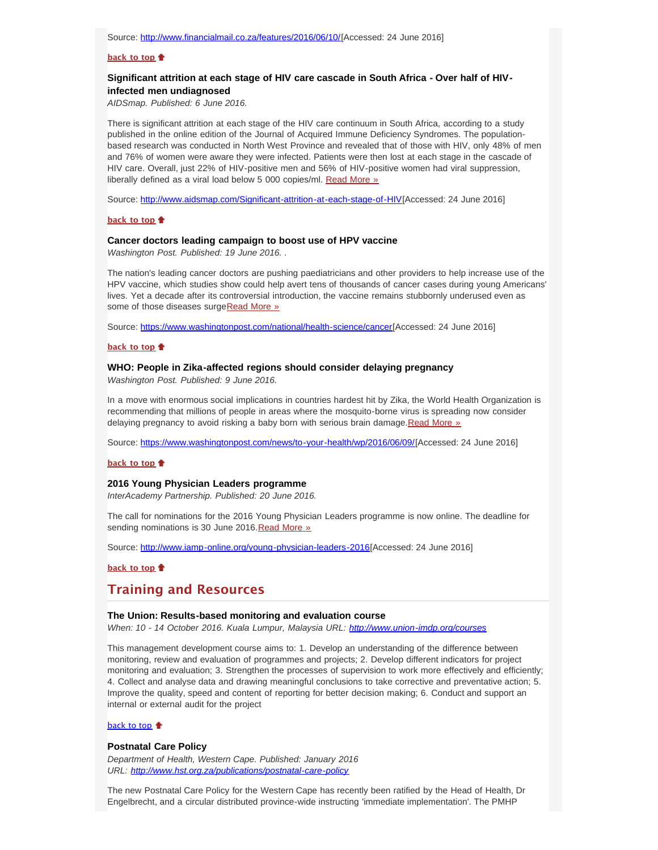## **[back to top](#page-0-4)**

# <span id="page-2-0"></span>**Significant attrition at each stage of HIV care cascade in South Africa - Over half of HIVinfected men undiagnosed**

*AIDSmap. Published: 6 June 2016.*

There is significant attrition at each stage of the HIV care continuum in South Africa, according to a study published in the online edition of the Journal of Acquired Immune Deficiency Syndromes. The populationbased research was conducted in North West Province and revealed that of those with HIV, only 48% of men and 76% of women were aware they were infected. Patients were then lost at each stage in the cascade of HIV care. Overall, just 22% of HIV-positive men and 56% of HIV-positive women had viral suppression, liberally defined as a viral load below 5 000 copies/ml. [Read More »](http://www.hst.org.za/news/significant-attrition-each-stage-hiv-care-cascade-south-africa-over-half-hiv-infected-men-undia)

Source: [http://www.aidsmap.com/Significant-attrition-at-each-stage-of-HIV\[](http://www.aidsmap.com/Significant-attrition-at-each-stage-of-HIV-care-cascade-in-South-Africa/page/3057478/)Accessed: 24 June 2016]

#### **[back to top](#page-0-4)**

### <span id="page-2-1"></span>**Cancer doctors leading campaign to boost use of HPV vaccine**

*Washington Post. Published: 19 June 2016. .*

The nation's leading cancer doctors are pushing paediatricians and other providers to help increase use of the HPV vaccine, which studies show could help avert tens of thousands of cancer cases during young Americans' lives. Yet a decade after its controversial introduction, the vaccine remains stubbornly underused even as some of those diseases surge[Read More »](http://www.hst.org.za/news/cancer-doctors-leading-campaign-boost-use-hpv-vaccine)

Source: [https://www.washingtonpost.com/national/health-science/cancer\[](https://www.washingtonpost.com/national/health-science/cancer-doctors-leading-campaign-to-boost-use-of-hpv-vaccine/2016/06/19/1e5eb65a-2e8e-11e6-9de3-6e6e7a14000c_story.html)Accessed: 24 June 2016]

### **[back to top](#page-0-4)**

#### <span id="page-2-2"></span>**WHO: People in Zika-affected regions should consider delaying pregnancy**

*Washington Post. Published: 9 June 2016.*

In a move with enormous social implications in countries hardest hit by Zika, the World Health Organization is recommending that millions of people in areas where the mosquito-borne virus is spreading now consider delaying pregnancy to avoid risking a baby born with serious brain damage.[Read More »](http://www.hst.org.za/news/who-people-zika-affected-regions-should-consider-delaying-pregnancy)

Source: [https://www.washingtonpost.com/news/to-your-health/wp/2016/06/09/\[](https://www.washingtonpost.com/news/to-your-health/wp/2016/06/09/who-women-in-zika-affected-regions-should-consider-delaying-pregnancy/)Accessed: 24 June 2016]

### **[back to top](#page-0-4)**

## <span id="page-2-3"></span>**2016 Young Physician Leaders programme**

*InterAcademy Partnership. Published: 20 June 2016.*

The call for nominations for the 2016 Young Physician Leaders programme is now online. The deadline for sending nominations is 30 June 2016. [Read More »](http://www.hst.org.za/news/2016-young-physician-leaders-programme-call-nominations)

Source: [http://www.iamp-online.org/young-physician-leaders-2016\[](http://www.iamp-online.org/young-physician-leaders-2016)Accessed: 24 June 2016]

## **[back to top](#page-0-4)**

# **Training and Resources**

### <span id="page-2-4"></span>**The Union: Results-based monitoring and evaluation course**

*When: 10 - 14 October 2016. Kuala Lumpur, Malaysia URL: [http://www.union-imdp.org/courses](http://www.union-imdp.org/courses/monitoring-and-evaluation#systemeOnglets1)*

This management development course aims to: 1. Develop an understanding of the difference between monitoring, review and evaluation of programmes and projects; 2. Develop different indicators for project monitoring and evaluation; 3. Strengthen the processes of supervision to work more effectively and efficiently; 4. Collect and analyse data and drawing meaningful conclusions to take corrective and preventative action; 5. Improve the quality, speed and content of reporting for better decision making; 6. Conduct and support an internal or external audit for the project

# [back to top](#page-0-4) <sup>+</sup>

#### <span id="page-2-5"></span>**Postnatal Care Policy**

*Department of Health, Western Cape. Published: January 2016 URL: <http://www.hst.org.za/publications/postnatal-care-policy>*

The new Postnatal Care Policy for the Western Cape has recently been ratified by the Head of Health, Dr Engelbrecht, and a circular distributed province-wide instructing 'immediate implementation'. The PMHP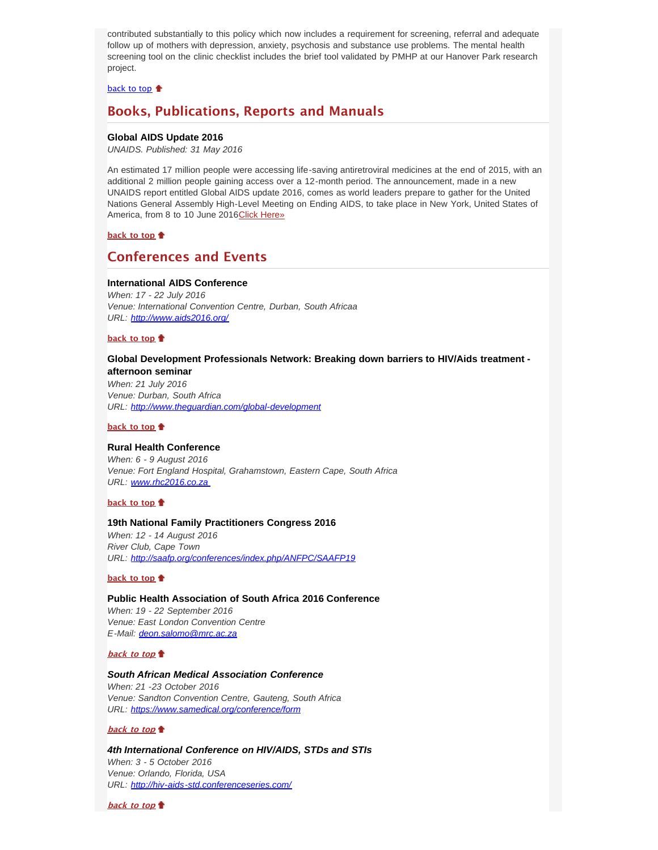contributed substantially to this policy which now includes a requirement for screening, referral and adequate follow up of mothers with depression, anxiety, psychosis and substance use problems. The mental health screening tool on the clinic checklist includes the brief tool validated by PMHP at our Hanover Park research project.

[back to top](#page-0-4)

# <span id="page-3-0"></span>**Books, Publications, Reports and Manuals**

### <span id="page-3-1"></span>**Global AIDS Update 2016**

*UNAIDS. Published: 31 May 2016*

An estimated 17 million people were accessing life-saving antiretroviral medicines at the end of 2015, with an additional 2 million people gaining access over a 12-month period. The announcement, made in a new UNAIDS report entitled Global AIDS update 2016, comes as world leaders prepare to gather for the United Nations General Assembly High-Level Meeting on Ending AIDS, to take place in New York, United States of America, from 8 to 10 June 2016[Click Here»](http://www.hst.org.za/publications/global-aids-update-2016)

**[back to top](#page-0-4)**

# <span id="page-3-2"></span>**Conferences and Events**

### <span id="page-3-3"></span>**International AIDS Conference**

*When: 17 - 22 July 2016 Venue: International Convention Centre, Durban, South Africaa URL: <http://www.aids2016.org/>*

## **[back to top](#page-0-4)**

# <span id="page-3-4"></span>**Global Development Professionals Network: Breaking down barriers to HIV/Aids treatment -**

**afternoon seminar** *When: 21 July 2016 Venue: Durban, South Africa URL: [http://www.theguardian.com/global-development](http://www.theguardian.com/global-development-professionals-network/2016/may/12/breaking-down-barriers-to-hivaids-treatment-afternoon-seminar)*

### **[back to top](#page-0-4)**

## <span id="page-3-5"></span>**Rural Health Conference**

*When: 6 - 9 August 2016 Venue: Fort England Hospital, Grahamstown, Eastern Cape, South Africa URL: [www.rhc2016.co.za](file:///Users/DTP/Desktop/www.rhc2016.co.za)* 

### **[back to top](#page-0-4)**

#### <span id="page-3-6"></span>**19th National Family Practitioners Congress 2016**

*When: 12 - 14 August 2016 River Club, Cape Town URL: <http://saafp.org/conferences/index.php/ANFPC/SAAFP19>*

## **[back to top](#page-0-4)**

# <span id="page-3-7"></span>**Public Health Association of South Africa 2016 Conference** *When: 19 - 22 September 2016 Venue: East London Convention Centre E-Mail: [deon.salomo@mrc.ac.za](file:///Users/DTP/Desktop/deon.salomo@mrc.ac.za)*

## **[back to top](#page-0-4)**

## <span id="page-3-8"></span>*South African Medical Association Conference*

*When: 21 -23 October 2016 Venue: Sandton Convention Centre, Gauteng, South Africa URL: [https://www.samedical.org/conference/form](https://www.samedical.org/conference/formdeon.salomo@mrc.ac.za)*

### **[back to top](#page-0-4)**

<span id="page-3-9"></span>*4th International Conference on HIV/AIDS, STDs and STIs When: 3 - 5 October 2016 Venue: Orlando, Florida, USA URL: <http://hiv-aids-std.conferenceseries.com/>*

**[back to top](#page-0-4)**